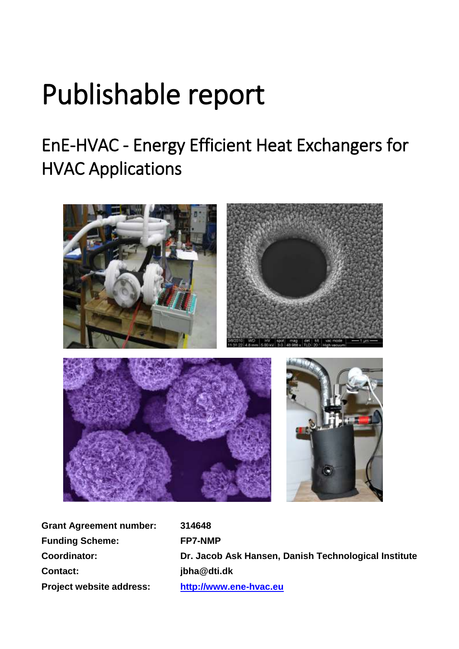# Publishable report

# EnE-HVAC - Energy Efficient Heat Exchangers for HVAC Applications



| <b>Grant Agreement number:</b>  |  |  |
|---------------------------------|--|--|
| <b>Funding Scheme:</b>          |  |  |
| <b>Coordinator:</b>             |  |  |
| <b>Contact:</b>                 |  |  |
| <b>Project website address:</b> |  |  |

**Grant Agreement number: 314648 Funding Scheme: FP7-NMP Coordinator: Dr. Jacob Ask Hansen, Danish Technological Institute Contact: jbha@dti.dk Project website address: [http://www.ene-hvac.eu](http://www.ene-hvac.eu/)**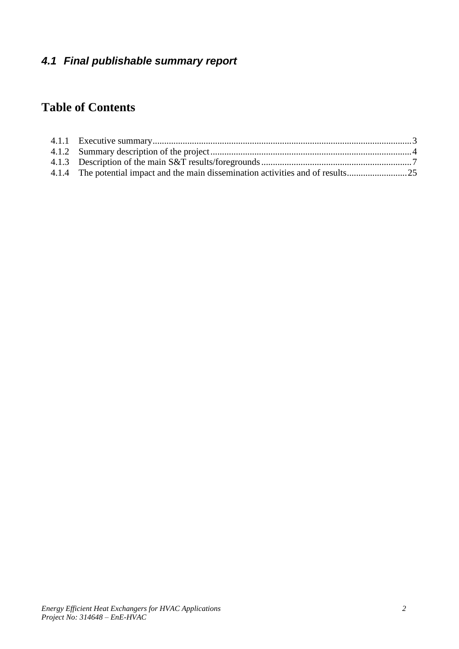# *4.1 Final publishable summary report*

# **Table of Contents**

| 4.1.4 The potential impact and the main dissemination activities and of results |  |
|---------------------------------------------------------------------------------|--|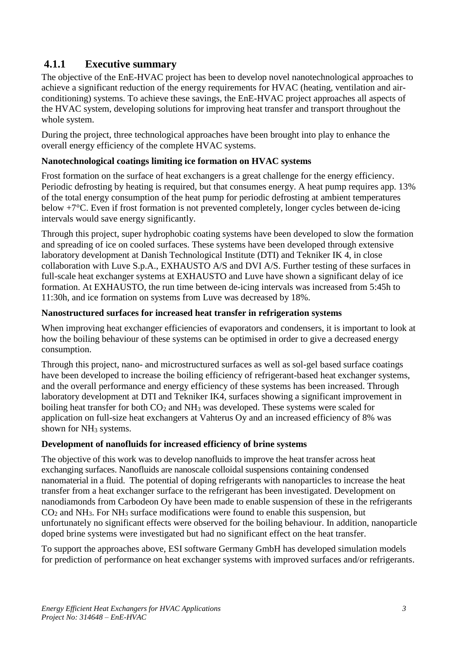## <span id="page-2-0"></span>**4.1.1 Executive summary**

The objective of the EnE-HVAC project has been to develop novel nanotechnological approaches to achieve a significant reduction of the energy requirements for HVAC (heating, ventilation and airconditioning) systems. To achieve these savings, the EnE-HVAC project approaches all aspects of the HVAC system, developing solutions for improving heat transfer and transport throughout the whole system.

During the project, three technological approaches have been brought into play to enhance the overall energy efficiency of the complete HVAC systems.

#### **Nanotechnological coatings limiting ice formation on HVAC systems**

Frost formation on the surface of heat exchangers is a great challenge for the energy efficiency. Periodic defrosting by heating is required, but that consumes energy. A heat pump requires app. 13% of the total energy consumption of the heat pump for periodic defrosting at ambient temperatures below +7°C. Even if frost formation is not prevented completely, longer cycles between de-icing intervals would save energy significantly.

Through this project, super hydrophobic coating systems have been developed to slow the formation and spreading of ice on cooled surfaces. These systems have been developed through extensive laboratory development at Danish Technological Institute (DTI) and Tekniker IK 4, in close collaboration with Luve S.p.A., EXHAUSTO A/S and DVI A/S. Further testing of these surfaces in full-scale heat exchanger systems at EXHAUSTO and Luve have shown a significant delay of ice formation. At EXHAUSTO, the run time between de-icing intervals was increased from 5:45h to 11:30h, and ice formation on systems from Luve was decreased by 18%.

#### **Nanostructured surfaces for increased heat transfer in refrigeration systems**

When improving heat exchanger efficiencies of evaporators and condensers, it is important to look at how the boiling behaviour of these systems can be optimised in order to give a decreased energy consumption.

Through this project, nano- and microstructured surfaces as well as sol-gel based surface coatings have been developed to increase the boiling efficiency of refrigerant-based heat exchanger systems, and the overall performance and energy efficiency of these systems has been increased. Through laboratory development at DTI and Tekniker IK4, surfaces showing a significant improvement in boiling heat transfer for both  $CO<sub>2</sub>$  and NH<sub>3</sub> was developed. These systems were scaled for application on full-size heat exchangers at Vahterus Oy and an increased efficiency of 8% was shown for NH<sup>3</sup> systems.

#### **Development of nanofluids for increased efficiency of brine systems**

The objective of this work was to develop nanofluids to improve the heat transfer across heat exchanging surfaces. Nanofluids are nanoscale colloidal suspensions containing condensed nanomaterial in a fluid. The potential of doping refrigerants with nanoparticles to increase the heat transfer from a heat exchanger surface to the refrigerant has been investigated. Development on nanodiamonds from Carbodeon Oy have been made to enable suspension of these in the refrigerants  $CO<sub>2</sub>$  and NH<sub>3</sub>. For NH<sub>3</sub> surface modifications were found to enable this suspension, but unfortunately no significant effects were observed for the boiling behaviour. In addition, nanoparticle doped brine systems were investigated but had no significant effect on the heat transfer.

To support the approaches above, ESI software Germany GmbH has developed simulation models for prediction of performance on heat exchanger systems with improved surfaces and/or refrigerants.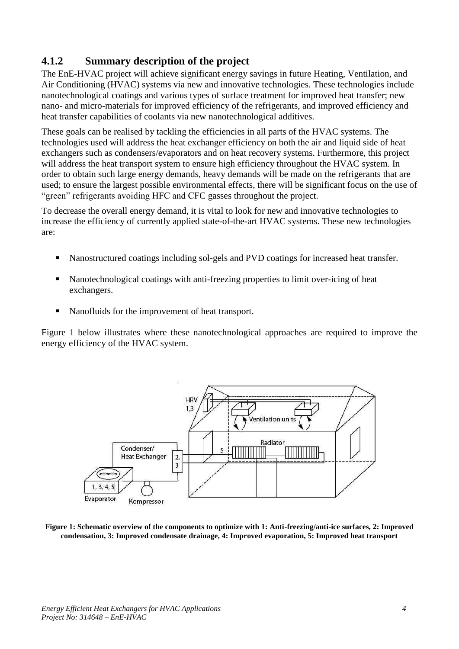# <span id="page-3-0"></span>**4.1.2 Summary description of the project**

The EnE-HVAC project will achieve significant energy savings in future Heating, Ventilation, and Air Conditioning (HVAC) systems via new and innovative technologies. These technologies include nanotechnological coatings and various types of surface treatment for improved heat transfer; new nano- and micro-materials for improved efficiency of the refrigerants, and improved efficiency and heat transfer capabilities of coolants via new nanotechnological additives.

These goals can be realised by tackling the efficiencies in all parts of the HVAC systems. The technologies used will address the heat exchanger efficiency on both the air and liquid side of heat exchangers such as condensers/evaporators and on heat recovery systems. Furthermore, this project will address the heat transport system to ensure high efficiency throughout the HVAC system. In order to obtain such large energy demands, heavy demands will be made on the refrigerants that are used; to ensure the largest possible environmental effects, there will be significant focus on the use of "green" refrigerants avoiding HFC and CFC gasses throughout the project.

To decrease the overall energy demand, it is vital to look for new and innovative technologies to increase the efficiency of currently applied state-of-the-art HVAC systems. These new technologies are:

- Nanostructured coatings including sol-gels and PVD coatings for increased heat transfer.
- Nanotechnological coatings with anti-freezing properties to limit over-icing of heat exchangers.
- Nanofluids for the improvement of heat transport.

[Figure 1](#page-3-1) below illustrates where these nanotechnological approaches are required to improve the energy efficiency of the HVAC system.



<span id="page-3-1"></span>**Figure 1: Schematic overview of the components to optimize with 1: Anti-freezing/anti-ice surfaces, 2: Improved condensation, 3: Improved condensate drainage, 4: Improved evaporation, 5: Improved heat transport**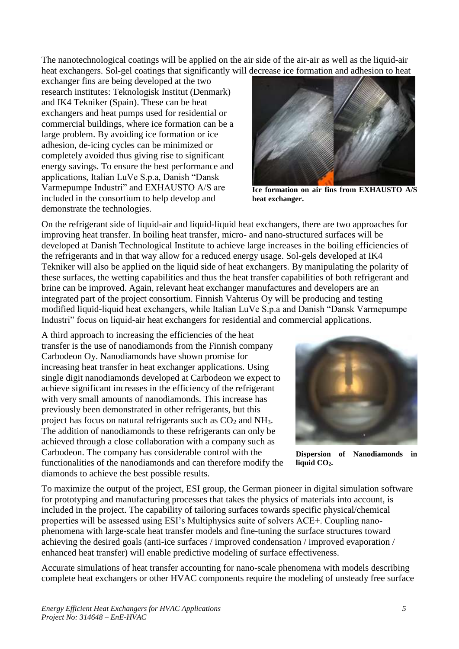The nanotechnological coatings will be applied on the air side of the air-air as well as the liquid-air heat exchangers. Sol-gel coatings that significantly will decrease ice formation and adhesion to heat

exchanger fins are being developed at the two research institutes: Teknologisk Institut (Denmark) and IK4 Tekniker (Spain). These can be heat exchangers and heat pumps used for residential or commercial buildings, where ice formation can be a large problem. By avoiding ice formation or ice adhesion, de-icing cycles can be minimized or completely avoided thus giving rise to significant energy savings. To ensure the best performance and applications, Italian LuVe S.p.a, Danish "Dansk Varmepumpe Industri" and EXHAUSTO A/S are included in the consortium to help develop and demonstrate the technologies.



**Ice formation on air fins from EXHAUSTO A/S heat exchanger.**

On the refrigerant side of liquid-air and liquid-liquid heat exchangers, there are two approaches for improving heat transfer. In boiling heat transfer, micro- and nano-structured surfaces will be developed at Danish Technological Institute to achieve large increases in the boiling efficiencies of the refrigerants and in that way allow for a reduced energy usage. Sol-gels developed at IK4 Tekniker will also be applied on the liquid side of heat exchangers. By manipulating the polarity of these surfaces, the wetting capabilities and thus the heat transfer capabilities of both refrigerant and brine can be improved. Again, relevant heat exchanger manufactures and developers are an integrated part of the project consortium. Finnish Vahterus Oy will be producing and testing modified liquid-liquid heat exchangers, while Italian LuVe S.p.a and Danish "Dansk Varmepumpe Industri" focus on liquid-air heat exchangers for residential and commercial applications.

A third approach to increasing the efficiencies of the heat transfer is the use of nanodiamonds from the Finnish company Carbodeon Oy. Nanodiamonds have shown promise for increasing heat transfer in heat exchanger applications. Using single digit nanodiamonds developed at Carbodeon we expect to achieve significant increases in the efficiency of the refrigerant with very small amounts of nanodiamonds. This increase has previously been demonstrated in other refrigerants, but this project has focus on natural refrigerants such as  $CO<sub>2</sub>$  and NH<sub>3</sub>. The addition of nanodiamonds to these refrigerants can only be achieved through a close collaboration with a company such as Carbodeon. The company has considerable control with the functionalities of the nanodiamonds and can therefore modify the diamonds to achieve the best possible results.



**Dispersion of Nanodiamonds in liquid CO2.**

To maximize the output of the project, ESI group, the German pioneer in digital simulation software for prototyping and manufacturing processes that takes the physics of materials into account, is included in the project. The capability of tailoring surfaces towards specific physical/chemical properties will be assessed using ESI's Multiphysics suite of solvers ACE+. Coupling nanophenomena with large-scale heat transfer models and fine-tuning the surface structures toward achieving the desired goals (anti-ice surfaces / improved condensation / improved evaporation / enhanced heat transfer) will enable predictive modeling of surface effectiveness.

Accurate simulations of heat transfer accounting for nano-scale phenomena with models describing complete heat exchangers or other HVAC components require the modeling of unsteady free surface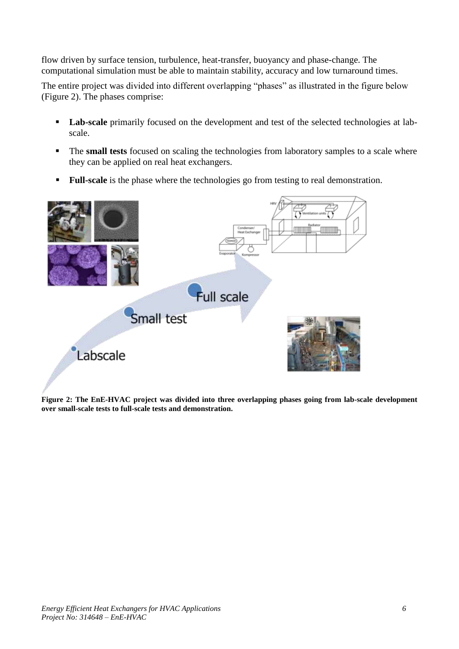flow driven by surface tension, turbulence, heat-transfer, buoyancy and phase-change. The computational simulation must be able to maintain stability, accuracy and low turnaround times.

The entire project was divided into different overlapping "phases" as illustrated in the figure below [\(Figure 2\)](#page-5-0). The phases comprise:

- **Lab-scale** primarily focused on the development and test of the selected technologies at labscale.
- The **small tests** focused on scaling the technologies from laboratory samples to a scale where they can be applied on real heat exchangers.
- **Full-scale** is the phase where the technologies go from testing to real demonstration.

<span id="page-5-0"></span>

**Figure 2: The EnE-HVAC project was divided into three overlapping phases going from lab-scale development over small-scale tests to full-scale tests and demonstration.**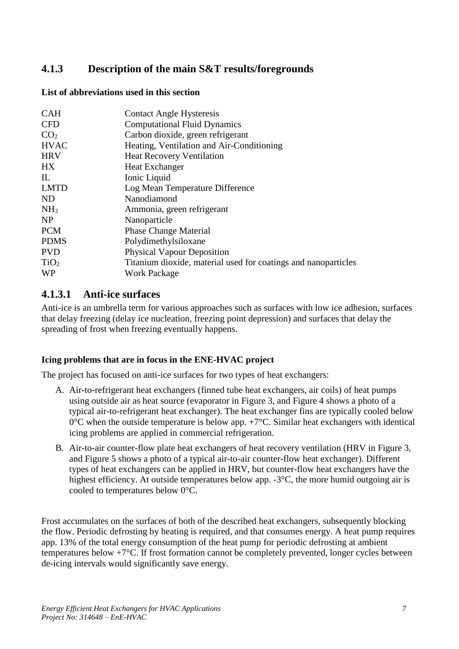# <span id="page-6-0"></span>**4.1.3 Description of the main S&T results/foregrounds**

#### **List of abbreviations used in this section**

| <b>CAH</b>       | <b>Contact Angle Hysteresis</b>                                |
|------------------|----------------------------------------------------------------|
| <b>CFD</b>       | <b>Computational Fluid Dynamics</b>                            |
| CO <sub>2</sub>  | Carbon dioxide, green refrigerant                              |
| <b>HVAC</b>      | Heating, Ventilation and Air-Conditioning                      |
| <b>HRV</b>       | <b>Heat Recovery Ventilation</b>                               |
| <b>HX</b>        | <b>Heat Exchanger</b>                                          |
| $\Pi$ .          | Ionic Liquid                                                   |
| <b>LMTD</b>      | Log Mean Temperature Difference                                |
| <b>ND</b>        | Nanodiamond                                                    |
| NH <sub>3</sub>  | Ammonia, green refrigerant                                     |
| <b>NP</b>        | Nanoparticle                                                   |
| <b>PCM</b>       | <b>Phase Change Material</b>                                   |
| <b>PDMS</b>      | Polydimethylsiloxane                                           |
| <b>PVD</b>       | <b>Physical Vapour Deposition</b>                              |
| TiO <sub>2</sub> | Titanium dioxide, material used for coatings and nanoparticles |
| <b>WP</b>        | <b>Work Package</b>                                            |

#### **4.1.3.1 Anti-ice surfaces**

Anti-ice is an umbrella term for various approaches such as surfaces with low ice adhesion, surfaces that delay freezing (delay ice nucleation, freezing point depression) and surfaces that delay the spreading of frost when freezing eventually happens.

#### **Icing problems that are in focus in the ENE-HVAC project**

The project has focused on anti-ice surfaces for two types of heat exchangers:

- A. Air-to-refrigerant heat exchangers (finned tube heat exchangers, air coils) of heat pumps using outside air as heat source (evaporator in [Figure 3,](#page-7-0) and [Figure 4](#page-7-1) shows a photo of a typical air-to-refrigerant heat exchanger). The heat exchanger fins are typically cooled below  $0^{\circ}$ C when the outside temperature is below app.  $+7^{\circ}$ C. Similar heat exchangers with identical icing problems are applied in commercial refrigeration.
- B. Air-to-air counter-flow plate heat exchangers of heat recovery ventilation (HRV in [Figure 3,](#page-7-0) and [Figure 5](#page-7-2) shows a photo of a typical air-to-air counter-flow heat exchanger). Different types of heat exchangers can be applied in HRV, but counter-flow heat exchangers have the highest efficiency. At outside temperatures below app. -3<sup>o</sup>C, the more humid outgoing air is cooled to temperatures below 0°C.

Frost accumulates on the surfaces of both of the described heat exchangers, subsequently blocking the flow. Periodic defrosting by heating is required, and that consumes energy. A heat pump requires app. 13% of the total energy consumption of the heat pump for periodic defrosting at ambient temperatures below +7°C. If frost formation cannot be completely prevented, longer cycles between de-icing intervals would significantly save energy.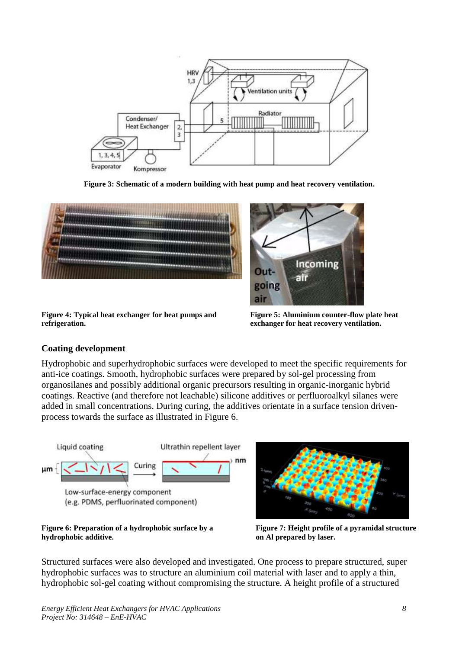

**Figure 3: Schematic of a modern building with heat pump and heat recovery ventilation.**

<span id="page-7-0"></span>

**Figure 4: Typical heat exchanger for heat pumps and refrigeration.**

<span id="page-7-2"></span>

**Figure 5: Aluminium counter-flow plate heat exchanger for heat recovery ventilation.**

#### <span id="page-7-1"></span>**Coating development**

Hydrophobic and superhydrophobic surfaces were developed to meet the specific requirements for anti-ice coatings. Smooth, hydrophobic surfaces were prepared by sol-gel processing from organosilanes and possibly additional organic precursors resulting in organic-inorganic hybrid coatings. Reactive (and therefore not leachable) silicone additives or perfluoroalkyl silanes were added in small concentrations. During curing, the additives orientate in a surface tension drivenprocess towards the surface as illustrated in [Figure 6.](#page-7-3)



#### <span id="page-7-3"></span>**Figure 6: Preparation of a hydrophobic surface by a hydrophobic additive.**



<span id="page-7-4"></span>**Figure 7: Height profile of a pyramidal structure on Al prepared by laser.**

Structured surfaces were also developed and investigated. One process to prepare structured, super hydrophobic surfaces was to structure an aluminium coil material with laser and to apply a thin, hydrophobic sol-gel coating without compromising the structure. A height profile of a structured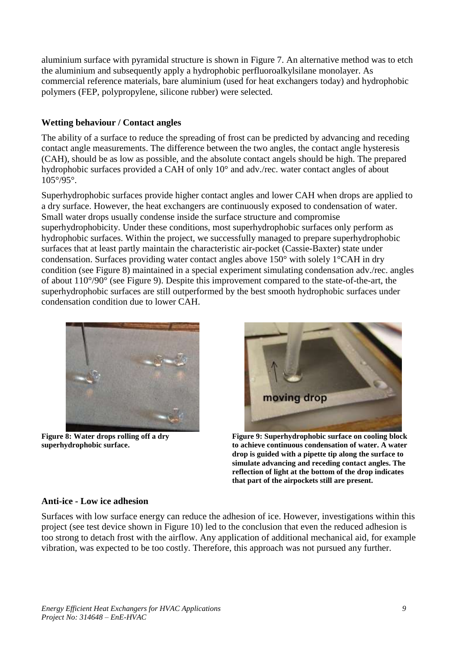aluminium surface with pyramidal structure is shown in [Figure 7.](#page-7-4) An alternative method was to etch the aluminium and subsequently apply a hydrophobic perfluoroalkylsilane monolayer. As commercial reference materials, bare aluminium (used for heat exchangers today) and hydrophobic polymers (FEP, polypropylene, silicone rubber) were selected.

#### **Wetting behaviour / Contact angles**

The ability of a surface to reduce the spreading of frost can be predicted by advancing and receding contact angle measurements. The difference between the two angles, the contact angle hysteresis (CAH), should be as low as possible, and the absolute contact angels should be high. The prepared hydrophobic surfaces provided a CAH of only 10° and adv./rec. water contact angles of about 105°/95°.

Superhydrophobic surfaces provide higher contact angles and lower CAH when drops are applied to a dry surface. However, the heat exchangers are continuously exposed to condensation of water. Small water drops usually condense inside the surface structure and compromise superhydrophobicity. Under these conditions, most superhydrophobic surfaces only perform as hydrophobic surfaces. Within the project, we successfully managed to prepare superhydrophobic surfaces that at least partly maintain the characteristic air-pocket (Cassie-Baxter) state under condensation. Surfaces providing water contact angles above 150° with solely 1°CAH in dry condition (see [Figure 8\)](#page-8-0) maintained in a special experiment simulating condensation adv./rec. angles of about 110°/90° (see [Figure 9\)](#page-8-1). Despite this improvement compared to the state-of-the-art, the superhydrophobic surfaces are still outperformed by the best smooth hydrophobic surfaces under condensation condition due to lower CAH.



**Figure 8: Water drops rolling off a dry superhydrophobic surface.**

<span id="page-8-1"></span>

**Figure 9: Superhydrophobic surface on cooling block to achieve continuous condensation of water. A water drop is guided with a pipette tip along the surface to simulate advancing and receding contact angles. The reflection of light at the bottom of the drop indicates that part of the airpockets still are present.**

#### <span id="page-8-0"></span>**Anti-ice - Low ice adhesion**

Surfaces with low surface energy can reduce the adhesion of ice. However, investigations within this project (see test device shown in [Figure 10\)](#page-9-0) led to the conclusion that even the reduced adhesion is too strong to detach frost with the airflow. Any application of additional mechanical aid, for example vibration, was expected to be too costly. Therefore, this approach was not pursued any further.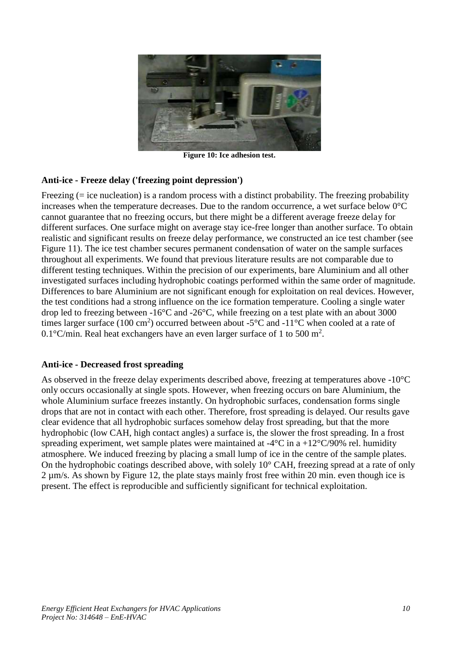

**Figure 10: Ice adhesion test.**

#### <span id="page-9-0"></span>**Anti-ice - Freeze delay ('freezing point depression')**

Freezing (= ice nucleation) is a random process with a distinct probability. The freezing probability increases when the temperature decreases. Due to the random occurrence, a wet surface below 0°C cannot guarantee that no freezing occurs, but there might be a different average freeze delay for different surfaces. One surface might on average stay ice-free longer than another surface. To obtain realistic and significant results on freeze delay performance, we constructed an ice test chamber (see [Figure 11\)](#page-10-0). The ice test chamber secures permanent condensation of water on the sample surfaces throughout all experiments. We found that previous literature results are not comparable due to different testing techniques. Within the precision of our experiments, bare Aluminium and all other investigated surfaces including hydrophobic coatings performed within the same order of magnitude. Differences to bare Aluminium are not significant enough for exploitation on real devices. However, the test conditions had a strong influence on the ice formation temperature. Cooling a single water drop led to freezing between -16°C and -26°C, while freezing on a test plate with an about 3000 times larger surface (100 cm<sup>2</sup>) occurred between about -5 $\degree$ C and -11 $\degree$ C when cooled at a rate of 0.1°C/min. Real heat exchangers have an even larger surface of 1 to 500 m<sup>2</sup>.

#### **Anti-ice - Decreased frost spreading**

As observed in the freeze delay experiments described above, freezing at temperatures above -10°C only occurs occasionally at single spots. However, when freezing occurs on bare Aluminium, the whole Aluminium surface freezes instantly. On hydrophobic surfaces, condensation forms single drops that are not in contact with each other. Therefore, frost spreading is delayed. Our results gave clear evidence that all hydrophobic surfaces somehow delay frost spreading, but that the more hydrophobic (low CAH, high contact angles) a surface is, the slower the frost spreading. In a frost spreading experiment, wet sample plates were maintained at  $-4^{\circ}$ C in a  $+12^{\circ}$ C/90% rel. humidity atmosphere. We induced freezing by placing a small lump of ice in the centre of the sample plates. On the hydrophobic coatings described above, with solely 10° CAH, freezing spread at a rate of only 2 µm/s. As shown by [Figure 12,](#page-10-1) the plate stays mainly frost free within 20 min. even though ice is present. The effect is reproducible and sufficiently significant for technical exploitation.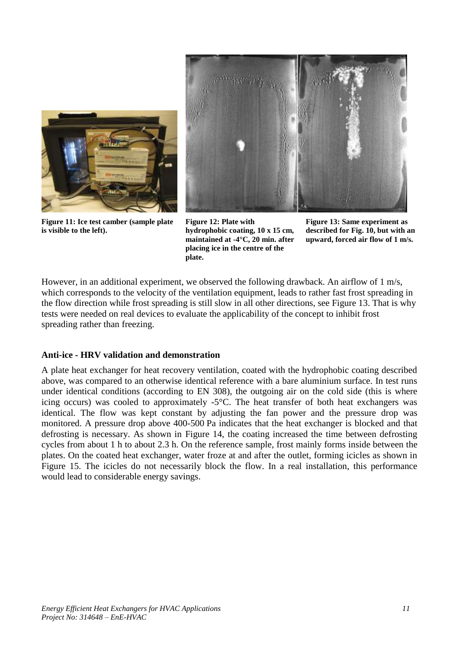

**Figure 11: Ice test camber (sample plate is visible to the left).**



**Figure 12: Plate with hydrophobic coating, 10 x 15 cm, maintained at -4°C, 20 min. after placing ice in the centre of the plate.**

<span id="page-10-2"></span><span id="page-10-1"></span>**Figure 13: Same experiment as described for Fig. 10, but with an upward, forced air flow of 1 m/s.**

<span id="page-10-0"></span>However, in an additional experiment, we observed the following drawback. An airflow of 1 m/s, which corresponds to the velocity of the ventilation equipment, leads to rather fast frost spreading in the flow direction while frost spreading is still slow in all other directions, see [Figure 13.](#page-10-2) That is why tests were needed on real devices to evaluate the applicability of the concept to inhibit frost spreading rather than freezing.

#### **Anti-ice - HRV validation and demonstration**

A plate heat exchanger for heat recovery ventilation, coated with the hydrophobic coating described above, was compared to an otherwise identical reference with a bare aluminium surface. In test runs under identical conditions (according to EN 308), the outgoing air on the cold side (this is where icing occurs) was cooled to approximately -5°C. The heat transfer of both heat exchangers was identical. The flow was kept constant by adjusting the fan power and the pressure drop was monitored. A pressure drop above 400-500 Pa indicates that the heat exchanger is blocked and that defrosting is necessary. As shown in [Figure 14,](#page-11-0) the coating increased the time between defrosting cycles from about 1 h to about 2.3 h. On the reference sample, frost mainly forms inside between the plates. On the coated heat exchanger, water froze at and after the outlet, forming icicles as shown in [Figure 15.](#page-11-1) The icicles do not necessarily block the flow. In a real installation, this performance would lead to considerable energy savings.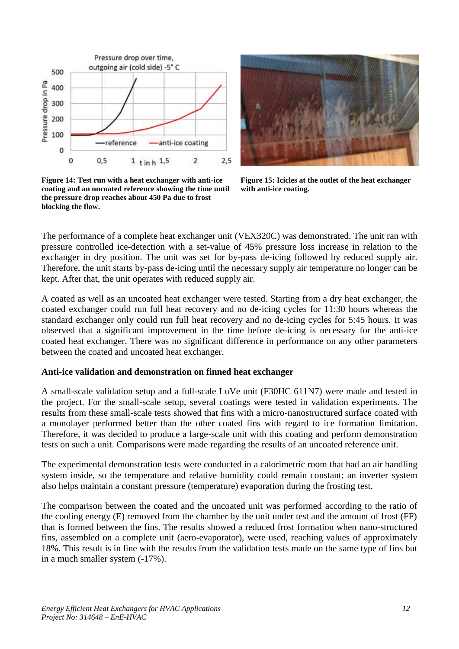



**Figure 14: Test run with a heat exchanger with anti-ice coating and an uncoated reference showing the time until the pressure drop reaches about 450 Pa due to frost blocking the flow.**

<span id="page-11-1"></span>**Figure 15: Icicles at the outlet of the heat exchanger with anti-ice coating.**

<span id="page-11-0"></span>The performance of a complete heat exchanger unit (VEX320C) was demonstrated. The unit ran with pressure controlled ice-detection with a set-value of 45% pressure loss increase in relation to the exchanger in dry position. The unit was set for by-pass de-icing followed by reduced supply air. Therefore, the unit starts by-pass de-icing until the necessary supply air temperature no longer can be kept. After that, the unit operates with reduced supply air.

A coated as well as an uncoated heat exchanger were tested. Starting from a dry heat exchanger, the coated exchanger could run full heat recovery and no de-icing cycles for 11:30 hours whereas the standard exchanger only could run full heat recovery and no de-icing cycles for 5:45 hours. It was observed that a significant improvement in the time before de-icing is necessary for the anti-ice coated heat exchanger. There was no significant difference in performance on any other parameters between the coated and uncoated heat exchanger.

#### **Anti-ice validation and demonstration on finned heat exchanger**

A small-scale validation setup and a full-scale LuVe unit (F30HC 611N7) were made and tested in the project. For the small-scale setup, several coatings were tested in validation experiments. The results from these small-scale tests showed that fins with a micro-nanostructured surface coated with a monolayer performed better than the other coated fins with regard to ice formation limitation. Therefore, it was decided to produce a large-scale unit with this coating and perform demonstration tests on such a unit. Comparisons were made regarding the results of an uncoated reference unit.

The experimental demonstration tests were conducted in a calorimetric room that had an air handling system inside, so the temperature and relative humidity could remain constant; an inverter system also helps maintain a constant pressure (temperature) evaporation during the frosting test.

The comparison between the coated and the uncoated unit was performed according to the ratio of the cooling energy (E) removed from the chamber by the unit under test and the amount of frost (FF) that is formed between the fins. The results showed a reduced frost formation when nano-structured fins, assembled on a complete unit (aero-evaporator), were used, reaching values of approximately 18%. This result is in line with the results from the validation tests made on the same type of fins but in a much smaller system (-17%).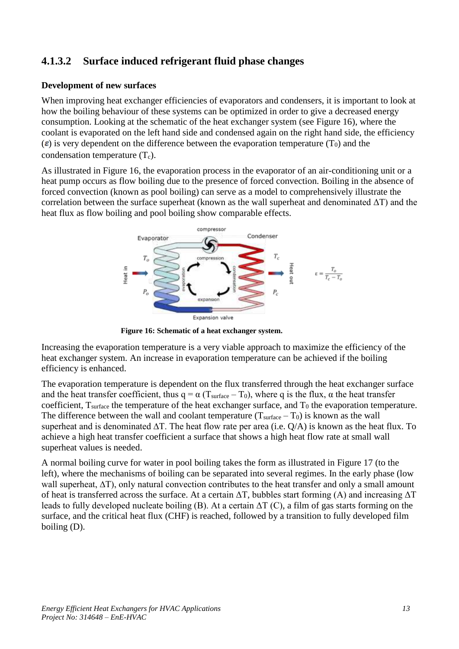# **4.1.3.2 Surface induced refrigerant fluid phase changes**

#### **Development of new surfaces**

When improving heat exchanger efficiencies of evaporators and condensers, it is important to look at how the boiling behaviour of these systems can be optimized in order to give a decreased energy consumption. Looking at the schematic of the heat exchanger system (see [Figure 16\)](#page-12-0), where the coolant is evaporated on the left hand side and condensed again on the right hand side, the efficiency  $(\epsilon)$  is very dependent on the difference between the evaporation temperature (T<sub>0</sub>) and the condensation temperature  $(T_c)$ .

As illustrated in [Figure 16,](#page-12-0) the evaporation process in the evaporator of an air-conditioning unit or a heat pump occurs as flow boiling due to the presence of forced convection. Boiling in the absence of forced convection (known as pool boiling) can serve as a model to comprehensively illustrate the correlation between the surface superheat (known as the wall superheat and denominated  $\Delta T$ ) and the heat flux as flow boiling and pool boiling show comparable effects.



<span id="page-12-0"></span>**Figure 16: Schematic of a heat exchanger system.**

Increasing the evaporation temperature is a very viable approach to maximize the efficiency of the heat exchanger system. An increase in evaporation temperature can be achieved if the boiling efficiency is enhanced.

The evaporation temperature is dependent on the flux transferred through the heat exchanger surface and the heat transfer coefficient, thus  $q = \alpha (T_{surface} - T_0)$ , where q is the flux,  $\alpha$  the heat transfer coefficient,  $T_{surface}$  the temperature of the heat exchanger surface, and  $T_0$  the evaporation temperature. The difference between the wall and coolant temperature  $(T<sub>surface</sub> - T<sub>0</sub>)$  is known as the wall superheat and is denominated  $\Delta T$ . The heat flow rate per area (i.e. O/A) is known as the heat flux. To achieve a high heat transfer coefficient a surface that shows a high heat flow rate at small wall superheat values is needed.

A normal boiling curve for water in pool boiling takes the form as illustrated in Figure 17 (to the left), where the mechanisms of boiling can be separated into several regimes. In the early phase (low wall superheat, ∆T), only natural convection contributes to the heat transfer and only a small amount of heat is transferred across the surface. At a certain ΔT, bubbles start forming (A) and increasing ΔT leads to fully developed nucleate boiling (B). At a certain  $\Delta T$  (C), a film of gas starts forming on the surface, and the critical heat flux (CHF) is reached, followed by a transition to fully developed film boiling (D).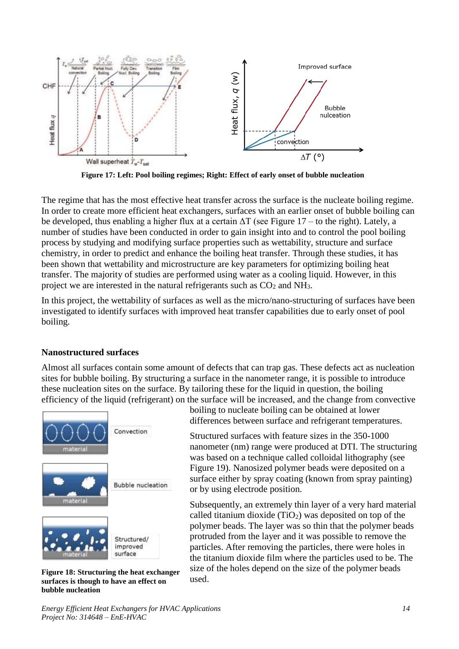

**Figure 17: Left: Pool boiling regimes; Right: Effect of early onset of bubble nucleation**

The regime that has the most effective heat transfer across the surface is the nucleate boiling regime. In order to create more efficient heat exchangers, surfaces with an earlier onset of bubble boiling can be developed, thus enabling a higher flux at a certain  $\Delta T$  (see Figure 17 – to the right). Lately, a number of studies have been conducted in order to gain insight into and to control the pool boiling process by studying and modifying surface properties such as wettability, structure and surface chemistry, in order to predict and enhance the boiling heat transfer. Through these studies, it has been shown that wettability and microstructure are key parameters for optimizing boiling heat transfer. The majority of studies are performed using water as a cooling liquid. However, in this project we are interested in the natural refrigerants such as  $CO<sub>2</sub>$  and NH<sub>3</sub>.

In this project, the wettability of surfaces as well as the micro/nano-structuring of surfaces have been investigated to identify surfaces with improved heat transfer capabilities due to early onset of pool boiling.

#### **Nanostructured surfaces**

Almost all surfaces contain some amount of defects that can trap gas. These defects act as nucleation sites for bubble boiling. By structuring a surface in the nanometer range, it is possible to introduce these nucleation sites on the surface. By tailoring these for the liquid in question, the boiling efficiency of the liquid (refrigerant) on the surface will be increased, and the change from convective



**Figure 18: Structuring the heat exchanger surfaces is though to have an effect on bubble nucleation**

boiling to nucleate boiling can be obtained at lower differences between surface and refrigerant temperatures.

Structured surfaces with feature sizes in the 350-1000 nanometer (nm) range were produced at DTI. The structuring was based on a technique called colloidal lithography (see [Figure 19\)](#page-14-0). Nanosized polymer beads were deposited on a surface either by spray coating (known from spray painting) or by using electrode position.

Subsequently, an extremely thin layer of a very hard material called titanium dioxide  $(TiO<sub>2</sub>)$  was deposited on top of the polymer beads. The layer was so thin that the polymer beads protruded from the layer and it was possible to remove the particles. After removing the particles, there were holes in the titanium dioxide film where the particles used to be. The size of the holes depend on the size of the polymer beads used.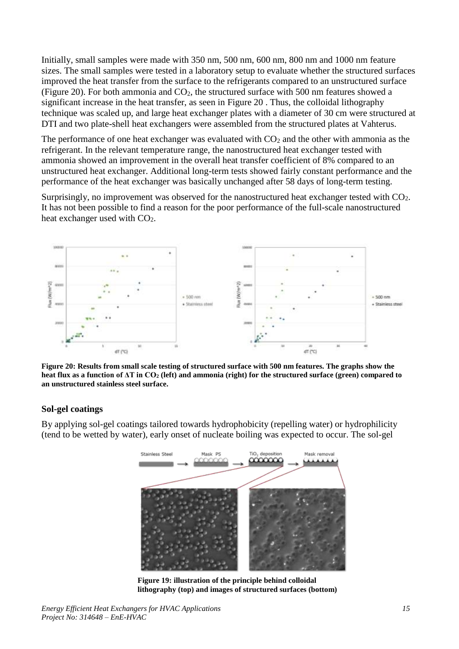Initially, small samples were made with 350 nm, 500 nm, 600 nm, 800 nm and 1000 nm feature sizes. The small samples were tested in a laboratory setup to evaluate whether the structured surfaces improved the heat transfer from the surface to the refrigerants compared to an unstructured surface [\(Figure 20\)](#page-14-1). For both ammonia and  $CO<sub>2</sub>$ , the structured surface with 500 nm features showed a significant increase in the heat transfer, as seen in Figure 20 . Thus, the colloidal lithography technique was scaled up, and large heat exchanger plates with a diameter of 30 cm were structured at DTI and two plate-shell heat exchangers were assembled from the structured plates at Vahterus.

The performance of one heat exchanger was evaluated with  $CO<sub>2</sub>$  and the other with ammonia as the refrigerant. In the relevant temperature range, the nanostructured heat exchanger tested with ammonia showed an improvement in the overall heat transfer coefficient of 8% compared to an unstructured heat exchanger. Additional long-term tests showed fairly constant performance and the performance of the heat exchanger was basically unchanged after 58 days of long-term testing.

Surprisingly, no improvement was observed for the nanostructured heat exchanger tested with CO2. It has not been possible to find a reason for the poor performance of the full-scale nanostructured heat exchanger used with  $CO<sub>2</sub>$ .



<span id="page-14-1"></span>**Figure 20: Results from small scale testing of structured surface with 500 nm features. The graphs show the heat flux as a function of ΔT in CO<sup>2</sup> (left) and ammonia (right) for the structured surface (green) compared to an unstructured stainless steel surface.** 

#### **Sol-gel coatings**

By applying sol-gel coatings tailored towards hydrophobicity (repelling water) or hydrophilicity (tend to be wetted by water), early onset of nucleate boiling was expected to occur. The sol-gel

<span id="page-14-0"></span>

**Figure 19: illustration of the principle behind colloidal lithography (top) and images of structured surfaces (bottom)**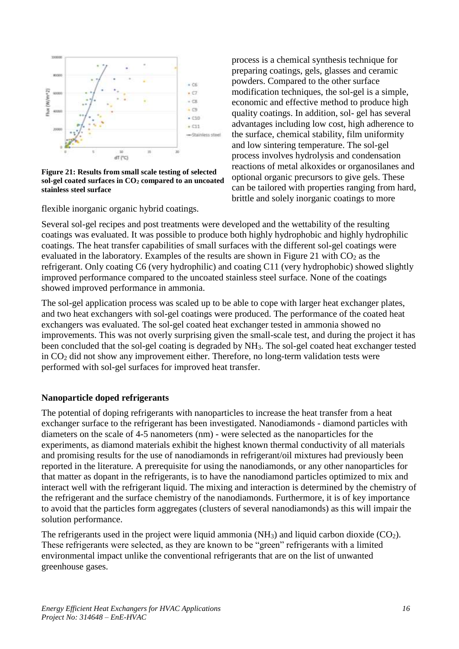

<span id="page-15-0"></span>**Figure 21: Results from small scale testing of selected sol-gel coated surfaces in CO<sup>2</sup> compared to an uncoated stainless steel surface**

flexible inorganic organic hybrid coatings.

process is a chemical synthesis technique for preparing coatings, gels, glasses and ceramic powders. Compared to the other surface modification techniques, the sol-gel is a simple, economic and effective method to produce high quality coatings. In addition, sol- gel has several advantages including low cost, high adherence to the surface, chemical stability, film uniformity and low sintering temperature. The sol-gel process involves hydrolysis and condensation reactions of metal alkoxides or organosilanes and optional organic precursors to give gels. These can be tailored with properties ranging from hard, brittle and solely inorganic coatings to more

Several sol-gel recipes and post treatments were developed and the wettability of the resulting coatings was evaluated. It was possible to produce both highly hydrophobic and highly hydrophilic coatings. The heat transfer capabilities of small surfaces with the different sol-gel coatings were evaluated in the laboratory. Examples of the results are shown in [Figure 21](#page-15-0) with  $CO<sub>2</sub>$  as the refrigerant. Only coating C6 (very hydrophilic) and coating C11 (very hydrophobic) showed slightly improved performance compared to the uncoated stainless steel surface. None of the coatings showed improved performance in ammonia.

The sol-gel application process was scaled up to be able to cope with larger heat exchanger plates, and two heat exchangers with sol-gel coatings were produced. The performance of the coated heat exchangers was evaluated. The sol-gel coated heat exchanger tested in ammonia showed no improvements. This was not overly surprising given the small-scale test, and during the project it has been concluded that the sol-gel coating is degraded by NH<sub>3</sub>. The sol-gel coated heat exchanger tested in CO<sup>2</sup> did not show any improvement either. Therefore, no long-term validation tests were performed with sol-gel surfaces for improved heat transfer.

#### **Nanoparticle doped refrigerants**

The potential of doping refrigerants with nanoparticles to increase the heat transfer from a heat exchanger surface to the refrigerant has been investigated. Nanodiamonds - diamond particles with diameters on the scale of 4-5 nanometers (nm) - were selected as the nanoparticles for the experiments, as diamond materials exhibit the highest known thermal conductivity of all materials and promising results for the use of nanodiamonds in refrigerant/oil mixtures had previously been reported in the literature. A prerequisite for using the nanodiamonds, or any other nanoparticles for that matter as dopant in the refrigerants, is to have the nanodiamond particles optimized to mix and interact well with the refrigerant liquid. The mixing and interaction is determined by the chemistry of the refrigerant and the surface chemistry of the nanodiamonds. Furthermore, it is of key importance to avoid that the particles form aggregates (clusters of several nanodiamonds) as this will impair the solution performance.

The refrigerants used in the project were liquid ammonia ( $NH<sub>3</sub>$ ) and liquid carbon dioxide ( $CO<sub>2</sub>$ ). These refrigerants were selected, as they are known to be "green" refrigerants with a limited environmental impact unlike the conventional refrigerants that are on the list of unwanted greenhouse gases.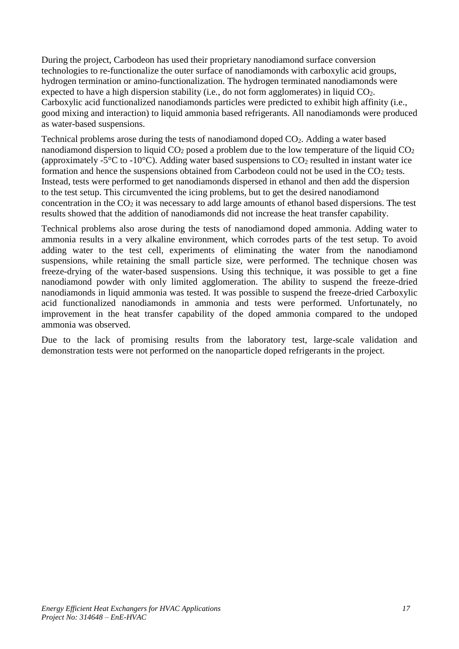During the project, Carbodeon has used their proprietary nanodiamond surface conversion technologies to re-functionalize the outer surface of nanodiamonds with carboxylic acid groups, hydrogen termination or amino-functionalization. The hydrogen terminated nanodiamonds were expected to have a high dispersion stability (i.e., do not form agglomerates) in liquid CO<sub>2</sub>. Carboxylic acid functionalized nanodiamonds particles were predicted to exhibit high affinity (i.e., good mixing and interaction) to liquid ammonia based refrigerants. All nanodiamonds were produced as water-based suspensions.

Technical problems arose during the tests of nanodiamond doped CO2. Adding a water based nanodiamond dispersion to liquid  $CO<sub>2</sub>$  posed a problem due to the low temperature of the liquid  $CO<sub>2</sub>$ (approximately -5 $\degree$ C to -10 $\degree$ C). Adding water based suspensions to  $CO_2$  resulted in instant water ice formation and hence the suspensions obtained from Carbodeon could not be used in the  $CO<sub>2</sub>$  tests. Instead, tests were performed to get nanodiamonds dispersed in ethanol and then add the dispersion to the test setup. This circumvented the icing problems, but to get the desired nanodiamond concentration in the  $CO<sub>2</sub>$  it was necessary to add large amounts of ethanol based dispersions. The test results showed that the addition of nanodiamonds did not increase the heat transfer capability.

Technical problems also arose during the tests of nanodiamond doped ammonia. Adding water to ammonia results in a very alkaline environment, which corrodes parts of the test setup. To avoid adding water to the test cell, experiments of eliminating the water from the nanodiamond suspensions, while retaining the small particle size, were performed. The technique chosen was freeze-drying of the water-based suspensions. Using this technique, it was possible to get a fine nanodiamond powder with only limited agglomeration. The ability to suspend the freeze-dried nanodiamonds in liquid ammonia was tested. It was possible to suspend the freeze-dried Carboxylic acid functionalized nanodiamonds in ammonia and tests were performed. Unfortunately, no improvement in the heat transfer capability of the doped ammonia compared to the undoped ammonia was observed.

Due to the lack of promising results from the laboratory test, large-scale validation and demonstration tests were not performed on the nanoparticle doped refrigerants in the project.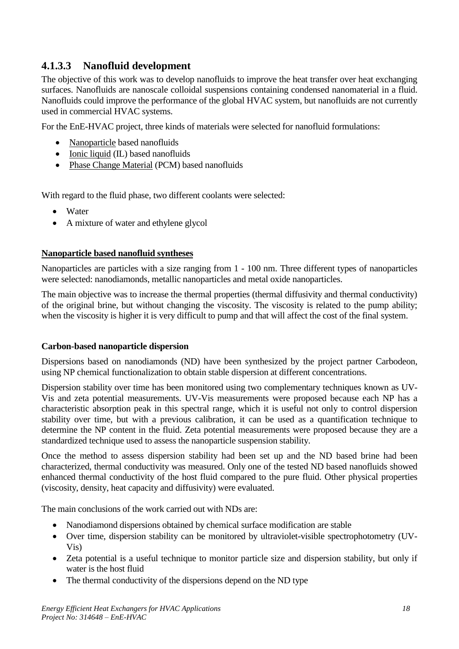## **4.1.3.3 Nanofluid development**

The objective of this work was to develop nanofluids to improve the heat transfer over heat exchanging surfaces. Nanofluids are nanoscale colloidal suspensions containing condensed nanomaterial in a fluid. Nanofluids could improve the performance of the global HVAC system, but nanofluids are not currently used in commercial HVAC systems.

For the EnE-HVAC project, three kinds of materials were selected for nanofluid formulations:

- Nanoparticle based nanofluids
- Ionic liquid (IL) based nanofluids
- Phase Change Material (PCM) based nanofluids

With regard to the fluid phase, two different coolants were selected:

- Water
- A mixture of water and ethylene glycol

#### **Nanoparticle based nanofluid syntheses**

Nanoparticles are particles with a size ranging from 1 - 100 nm. Three different types of nanoparticles were selected: nanodiamonds, metallic nanoparticles and metal oxide nanoparticles.

The main objective was to increase the thermal properties (thermal diffusivity and thermal conductivity) of the original brine, but without changing the viscosity. The viscosity is related to the pump ability; when the viscosity is higher it is very difficult to pump and that will affect the cost of the final system.

#### **Carbon-based nanoparticle dispersion**

Dispersions based on nanodiamonds (ND) have been synthesized by the project partner Carbodeon, using NP chemical functionalization to obtain stable dispersion at different concentrations.

Dispersion stability over time has been monitored using two complementary techniques known as UV-Vis and zeta potential measurements. UV-Vis measurements were proposed because each NP has a characteristic absorption peak in this spectral range, which it is useful not only to control dispersion stability over time, but with a previous calibration, it can be used as a quantification technique to determine the NP content in the fluid. Zeta potential measurements were proposed because they are a standardized technique used to assess the nanoparticle suspension stability.

Once the method to assess dispersion stability had been set up and the ND based brine had been characterized, thermal conductivity was measured. Only one of the tested ND based nanofluids showed enhanced thermal conductivity of the host fluid compared to the pure fluid. Other physical properties (viscosity, density, heat capacity and diffusivity) were evaluated.

The main conclusions of the work carried out with NDs are:

- Nanodiamond dispersions obtained by chemical surface modification are stable
- Over time, dispersion stability can be monitored by ultraviolet-visible spectrophotometry (UV-Vis)
- Zeta potential is a useful technique to monitor particle size and dispersion stability, but only if water is the host fluid
- The thermal conductivity of the dispersions depend on the ND type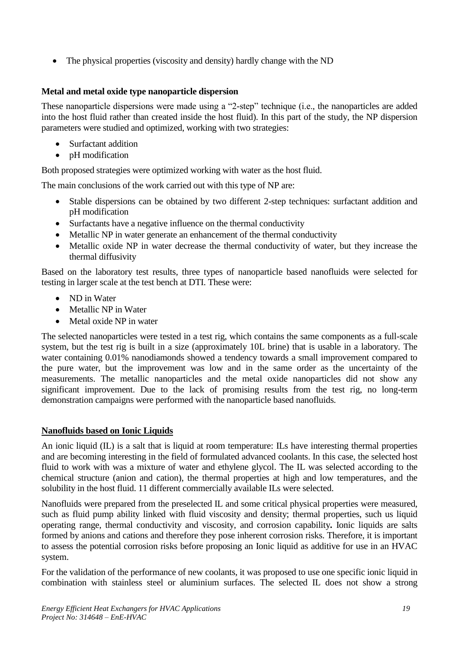• The physical properties (viscosity and density) hardly change with the ND

#### **Metal and metal oxide type nanoparticle dispersion**

These nanoparticle dispersions were made using a "2-step" technique (i.e., the nanoparticles are added into the host fluid rather than created inside the host fluid). In this part of the study, the NP dispersion parameters were studied and optimized, working with two strategies:

- Surfactant addition
- pH modification

Both proposed strategies were optimized working with water as the host fluid.

The main conclusions of the work carried out with this type of NP are:

- Stable dispersions can be obtained by two different 2-step techniques: surfactant addition and pH modification
- Surfactants have a negative influence on the thermal conductivity
- Metallic NP in water generate an enhancement of the thermal conductivity
- Metallic oxide NP in water decrease the thermal conductivity of water, but they increase the thermal diffusivity

Based on the laboratory test results, three types of nanoparticle based nanofluids were selected for testing in larger scale at the test bench at DTI. These were:

- ND in Water
- Metallic NP in Water
- Metal oxide NP in water

The selected nanoparticles were tested in a test rig, which contains the same components as a full-scale system, but the test rig is built in a size (approximately 10L brine) that is usable in a laboratory. The water containing 0.01% nanodiamonds showed a tendency towards a small improvement compared to the pure water, but the improvement was low and in the same order as the uncertainty of the measurements. The metallic nanoparticles and the metal oxide nanoparticles did not show any significant improvement. Due to the lack of promising results from the test rig, no long-term demonstration campaigns were performed with the nanoparticle based nanofluids.

#### **Nanofluids based on Ionic Liquids**

An ionic liquid (IL) is a salt that is liquid at room temperature: ILs have interesting thermal properties and are becoming interesting in the field of formulated advanced coolants. In this case, the selected host fluid to work with was a mixture of water and ethylene glycol. The IL was selected according to the chemical structure (anion and cation), the thermal properties at high and low temperatures, and the solubility in the host fluid. 11 different commercially available ILs were selected.

Nanofluids were prepared from the preselected IL and some critical physical properties were measured, such as fluid pump ability linked with fluid viscosity and density; thermal properties, such us liquid operating range, thermal conductivity and viscosity, and corrosion capability**.** Ionic liquids are salts formed by anions and cations and therefore they pose inherent corrosion risks. Therefore, it is important to assess the potential corrosion risks before proposing an Ionic liquid as additive for use in an HVAC system.

For the validation of the performance of new coolants, it was proposed to use one specific ionic liquid in combination with stainless steel or aluminium surfaces. The selected IL does not show a strong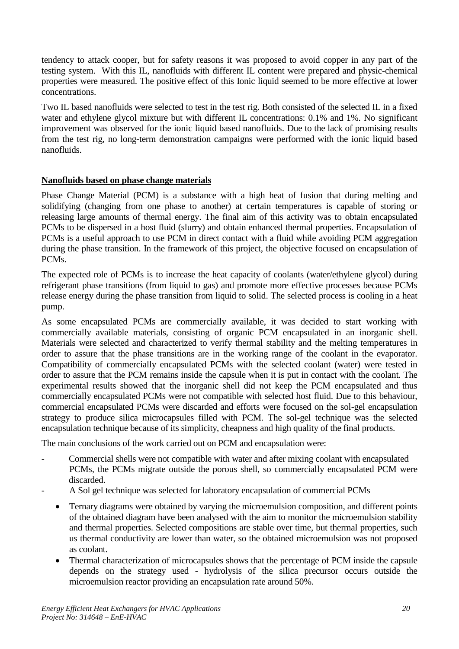tendency to attack cooper, but for safety reasons it was proposed to avoid copper in any part of the testing system. With this IL, nanofluids with different IL content were prepared and physic-chemical properties were measured. The positive effect of this Ionic liquid seemed to be more effective at lower concentrations.

Two IL based nanofluids were selected to test in the test rig. Both consisted of the selected IL in a fixed water and ethylene glycol mixture but with different IL concentrations: 0.1% and 1%. No significant improvement was observed for the ionic liquid based nanofluids. Due to the lack of promising results from the test rig, no long-term demonstration campaigns were performed with the ionic liquid based nanofluids.

#### **Nanofluids based on phase change materials**

Phase Change Material (PCM) is a substance with a high heat of fusion that during melting and solidifying (changing from one phase to another) at certain temperatures is capable of storing or releasing large amounts of thermal energy. The final aim of this activity was to obtain encapsulated PCMs to be dispersed in a host fluid (slurry) and obtain enhanced thermal properties. Encapsulation of PCMs is a useful approach to use PCM in direct contact with a fluid while avoiding PCM aggregation during the phase transition. In the framework of this project, the objective focused on encapsulation of PCMs.

The expected role of PCMs is to increase the heat capacity of coolants (water/ethylene glycol) during refrigerant phase transitions (from liquid to gas) and promote more effective processes because PCMs release energy during the phase transition from liquid to solid. The selected process is cooling in a heat pump.

As some encapsulated PCMs are commercially available, it was decided to start working with commercially available materials, consisting of organic PCM encapsulated in an inorganic shell. Materials were selected and characterized to verify thermal stability and the melting temperatures in order to assure that the phase transitions are in the working range of the coolant in the evaporator. Compatibility of commercially encapsulated PCMs with the selected coolant (water) were tested in order to assure that the PCM remains inside the capsule when it is put in contact with the coolant. The experimental results showed that the inorganic shell did not keep the PCM encapsulated and thus commercially encapsulated PCMs were not compatible with selected host fluid. Due to this behaviour, commercial encapsulated PCMs were discarded and efforts were focused on the sol-gel encapsulation strategy to produce silica microcapsules filled with PCM. The sol-gel technique was the selected encapsulation technique because of its simplicity, cheapness and high quality of the final products.

The main conclusions of the work carried out on PCM and encapsulation were:

- Commercial shells were not compatible with water and after mixing coolant with encapsulated PCMs, the PCMs migrate outside the porous shell, so commercially encapsulated PCM were discarded.
- A Sol gel technique was selected for laboratory encapsulation of commercial PCMs
	- Ternary diagrams were obtained by varying the microemulsion composition, and different points of the obtained diagram have been analysed with the aim to monitor the microemulsion stability and thermal properties. Selected compositions are stable over time, but thermal properties, such us thermal conductivity are lower than water, so the obtained microemulsion was not proposed as coolant.
	- Thermal characterization of microcapsules shows that the percentage of PCM inside the capsule depends on the strategy used - hydrolysis of the silica precursor occurs outside the microemulsion reactor providing an encapsulation rate around 50%.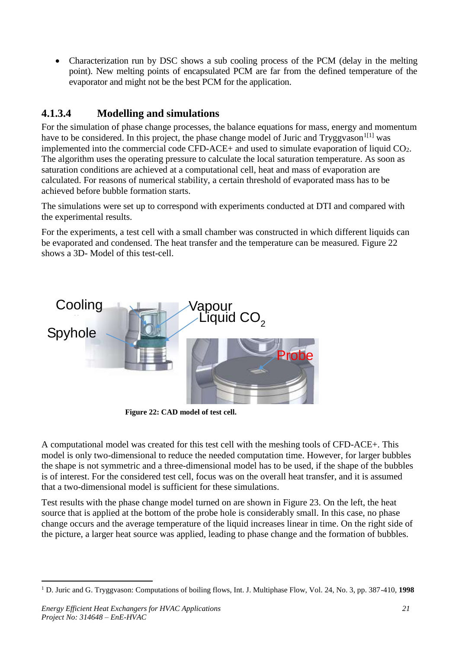• Characterization run by DSC shows a sub cooling process of the PCM (delay in the melting point). New melting points of encapsulated PCM are far from the defined temperature of the evaporator and might not be the best PCM for the application.

# **4.1.3.4 Modelling and simulations**

For the simulation of phase change processes, the balance equations for mass, energy and momentum have to be considered. In this project, the phase change model of Juric and  $Tryggvason<sup>1[1]</sup>$  was implemented into the commercial code CFD-ACE+ and used to simulate evaporation of liquid  $CO<sub>2</sub>$ . The algorithm uses the operating pressure to calculate the local saturation temperature. As soon as saturation conditions are achieved at a computational cell, heat and mass of evaporation are calculated. For reasons of numerical stability, a certain threshold of evaporated mass has to be achieved before bubble formation starts.

The simulations were set up to correspond with experiments conducted at DTI and compared with the experimental results.

For the experiments, a test cell with a small chamber was constructed in which different liquids can be evaporated and condensed. The heat transfer and the temperature can be measured. [Figure 22](#page-20-0) shows a 3D- Model of this test-cell.



**Figure 22: CAD model of test cell.**

<span id="page-20-0"></span>A computational model was created for this test cell with the meshing tools of CFD-ACE+. This model is only two-dimensional to reduce the needed computation time. However, for larger bubbles the shape is not symmetric and a three-dimensional model has to be used, if the shape of the bubbles is of interest. For the considered test cell, focus was on the overall heat transfer, and it is assumed that a two-dimensional model is sufficient for these simulations.

Test results with the phase change model turned on are shown in [Figure 23.](#page-21-0) On the left, the heat source that is applied at the bottom of the probe hole is considerably small. In this case, no phase change occurs and the average temperature of the liquid increases linear in time. On the right side of the picture, a larger heat source was applied, leading to phase change and the formation of bubbles.

 $\overline{a}$ <sup>1</sup> D. Juric and G. Tryggvason: Computations of boiling flows, Int. J. Multiphase Flow, Vol. 24, No. 3, pp. 387-410, **1998**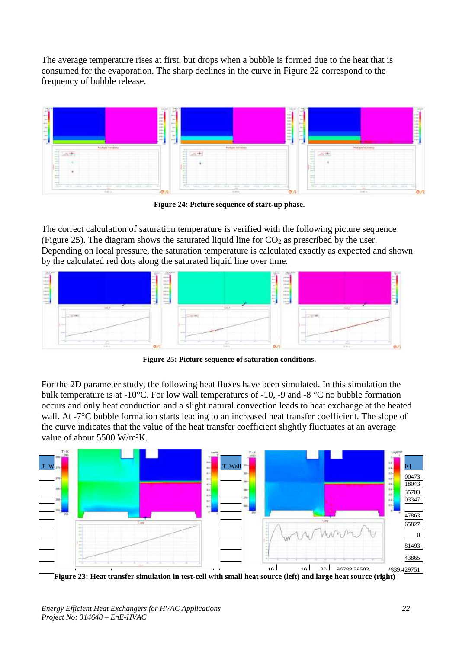The average temperature rises at first, but drops when a bubble is formed due to the heat that is consumed for the evaporation. The sharp declines in the curve in Figure 22 correspond to the frequency of bubble release.



**Figure 24: Picture sequence of start-up phase.**

The correct calculation of saturation temperature is verified with the following picture sequence [\(Figure 25\)](#page-21-1). The diagram shows the saturated liquid line for  $CO<sub>2</sub>$  as prescribed by the user. Depending on local pressure, the saturation temperature is calculated exactly as expected and shown by the calculated red dots along the saturated liquid line over time.



**Figure 25: Picture sequence of saturation conditions.**

<span id="page-21-1"></span>For the 2D parameter study, the following heat fluxes have been simulated. In this simulation the bulk temperature is at -10°C. For low wall temperatures of -10, -9 and -8 °C no bubble formation occurs and only heat conduction and a slight natural convection leads to heat exchange at the heated wall. At -7<sup>°</sup>C bubble formation starts leading to an increased heat transfer coefficient. The slope of the curve indicates that the value of the heat transfer coefficient slightly fluctuates at an average value of about 5500 W/m<sup>2</sup>K.



<span id="page-21-0"></span>**Figure 23: Heat transfer simulation in test-cell with small heat source (left) and large heat source (right)**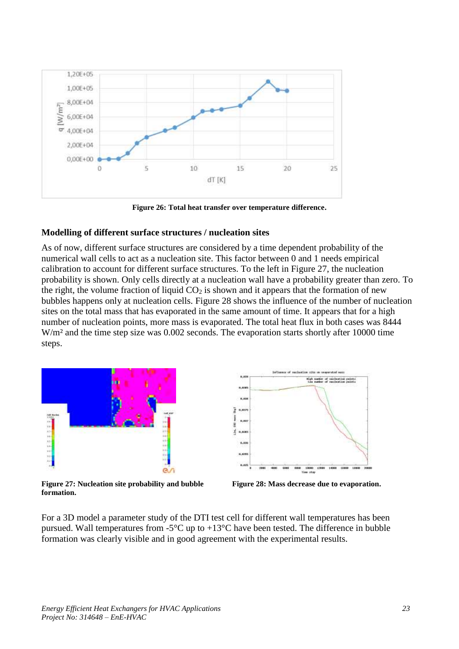

**Figure 26: Total heat transfer over temperature difference.**

#### **Modelling of different surface structures / nucleation sites**

As of now, different surface structures are considered by a time dependent probability of the numerical wall cells to act as a nucleation site. This factor between 0 and 1 needs empirical calibration to account for different surface structures. To the left in [Figure 27,](#page-22-0) the nucleation probability is shown. Only cells directly at a nucleation wall have a probability greater than zero. To the right, the volume fraction of liquid  $CO<sub>2</sub>$  is shown and it appears that the formation of new bubbles happens only at nucleation cells. [Figure 28](#page-22-1) shows the influence of the number of nucleation sites on the total mass that has evaporated in the same amount of time. It appears that for a high number of nucleation points, more mass is evaporated. The total heat flux in both cases was 8444 W/m<sup>2</sup> and the time step size was 0.002 seconds. The evaporation starts shortly after 10000 time steps.



<span id="page-22-0"></span>**Figure 27: Nucleation site probability and bubble formation.**



<span id="page-22-1"></span>**Figure 28: Mass decrease due to evaporation.**

For a 3D model a parameter study of the DTI test cell for different wall temperatures has been pursued. Wall temperatures from  $-5^{\circ}$ C up to  $+13^{\circ}$ C have been tested. The difference in bubble formation was clearly visible and in good agreement with the experimental results.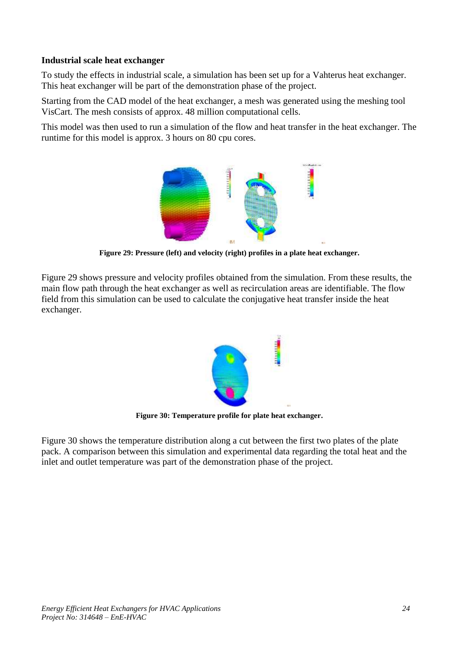#### **Industrial scale heat exchanger**

To study the effects in industrial scale, a simulation has been set up for a Vahterus heat exchanger. This heat exchanger will be part of the demonstration phase of the project.

Starting from the CAD model of the heat exchanger, a mesh was generated using the meshing tool VisCart. The mesh consists of approx. 48 million computational cells.

This model was then used to run a simulation of the flow and heat transfer in the heat exchanger. The runtime for this model is approx. 3 hours on 80 cpu cores.



**Figure 29: Pressure (left) and velocity (right) profiles in a plate heat exchanger.**

<span id="page-23-0"></span>[Figure 29](#page-23-0) shows pressure and velocity profiles obtained from the simulation. From these results, the main flow path through the heat exchanger as well as recirculation areas are identifiable. The flow field from this simulation can be used to calculate the conjugative heat transfer inside the heat exchanger.



**Figure 30: Temperature profile for plate heat exchanger.**

<span id="page-23-1"></span>[Figure 30](#page-23-1) shows the temperature distribution along a cut between the first two plates of the plate pack. A comparison between this simulation and experimental data regarding the total heat and the inlet and outlet temperature was part of the demonstration phase of the project.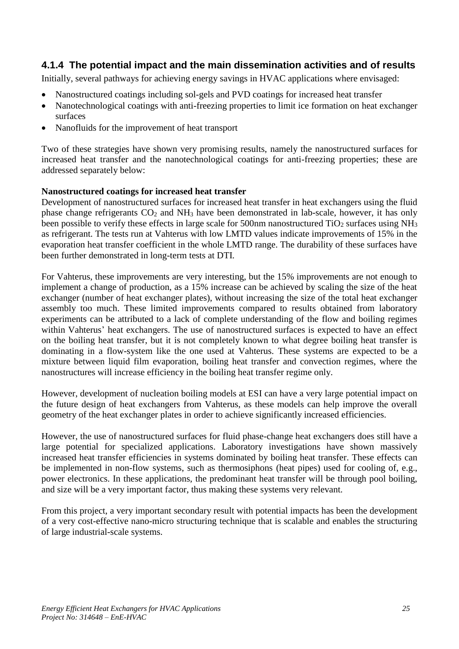#### <span id="page-24-0"></span>**4.1.4 The potential impact and the main dissemination activities and of results**

Initially, several pathways for achieving energy savings in HVAC applications where envisaged:

- Nanostructured coatings including sol-gels and PVD coatings for increased heat transfer
- Nanotechnological coatings with anti-freezing properties to limit ice formation on heat exchanger surfaces
- Nanofluids for the improvement of heat transport

Two of these strategies have shown very promising results, namely the nanostructured surfaces for increased heat transfer and the nanotechnological coatings for anti-freezing properties; these are addressed separately below:

#### **Nanostructured coatings for increased heat transfer**

Development of nanostructured surfaces for increased heat transfer in heat exchangers using the fluid phase change refrigerants  $CO<sub>2</sub>$  and NH<sub>3</sub> have been demonstrated in lab-scale, however, it has only been possible to verify these effects in large scale for 500nm nanostructured  $TiO<sub>2</sub>$  surfaces using NH<sub>3</sub> as refrigerant. The tests run at Vahterus with low LMTD values indicate improvements of 15% in the evaporation heat transfer coefficient in the whole LMTD range. The durability of these surfaces have been further demonstrated in long-term tests at DTI.

For Vahterus, these improvements are very interesting, but the 15% improvements are not enough to implement a change of production, as a 15% increase can be achieved by scaling the size of the heat exchanger (number of heat exchanger plates), without increasing the size of the total heat exchanger assembly too much. These limited improvements compared to results obtained from laboratory experiments can be attributed to a lack of complete understanding of the flow and boiling regimes within Vahterus' heat exchangers. The use of nanostructured surfaces is expected to have an effect on the boiling heat transfer, but it is not completely known to what degree boiling heat transfer is dominating in a flow-system like the one used at Vahterus. These systems are expected to be a mixture between liquid film evaporation, boiling heat transfer and convection regimes, where the nanostructures will increase efficiency in the boiling heat transfer regime only.

However, development of nucleation boiling models at ESI can have a very large potential impact on the future design of heat exchangers from Vahterus, as these models can help improve the overall geometry of the heat exchanger plates in order to achieve significantly increased efficiencies.

However, the use of nanostructured surfaces for fluid phase-change heat exchangers does still have a large potential for specialized applications. Laboratory investigations have shown massively increased heat transfer efficiencies in systems dominated by boiling heat transfer. These effects can be implemented in non-flow systems, such as thermosiphons (heat pipes) used for cooling of, e.g., power electronics. In these applications, the predominant heat transfer will be through pool boiling, and size will be a very important factor, thus making these systems very relevant.

From this project, a very important secondary result with potential impacts has been the development of a very cost-effective nano-micro structuring technique that is scalable and enables the structuring of large industrial-scale systems.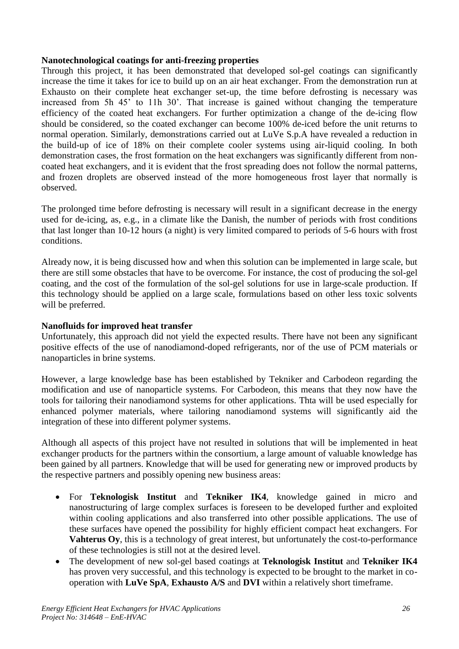#### **Nanotechnological coatings for anti-freezing properties**

Through this project, it has been demonstrated that developed sol-gel coatings can significantly increase the time it takes for ice to build up on an air heat exchanger. From the demonstration run at Exhausto on their complete heat exchanger set-up, the time before defrosting is necessary was increased from 5h 45' to 11h 30'. That increase is gained without changing the temperature efficiency of the coated heat exchangers. For further optimization a change of the de-icing flow should be considered, so the coated exchanger can become 100% de-iced before the unit returns to normal operation. Similarly, demonstrations carried out at LuVe S.p.A have revealed a reduction in the build-up of ice of 18% on their complete cooler systems using air-liquid cooling. In both demonstration cases, the frost formation on the heat exchangers was significantly different from noncoated heat exchangers, and it is evident that the frost spreading does not follow the normal patterns, and frozen droplets are observed instead of the more homogeneous frost layer that normally is observed.

The prolonged time before defrosting is necessary will result in a significant decrease in the energy used for de-icing, as, e.g., in a climate like the Danish, the number of periods with frost conditions that last longer than 10-12 hours (a night) is very limited compared to periods of 5-6 hours with frost conditions.

Already now, it is being discussed how and when this solution can be implemented in large scale, but there are still some obstacles that have to be overcome. For instance, the cost of producing the sol-gel coating, and the cost of the formulation of the sol-gel solutions for use in large-scale production. If this technology should be applied on a large scale, formulations based on other less toxic solvents will be preferred.

#### **Nanofluids for improved heat transfer**

Unfortunately, this approach did not yield the expected results. There have not been any significant positive effects of the use of nanodiamond-doped refrigerants, nor of the use of PCM materials or nanoparticles in brine systems.

However, a large knowledge base has been established by Tekniker and Carbodeon regarding the modification and use of nanoparticle systems. For Carbodeon, this means that they now have the tools for tailoring their nanodiamond systems for other applications. Thta will be used especially for enhanced polymer materials, where tailoring nanodiamond systems will significantly aid the integration of these into different polymer systems.

Although all aspects of this project have not resulted in solutions that will be implemented in heat exchanger products for the partners within the consortium, a large amount of valuable knowledge has been gained by all partners. Knowledge that will be used for generating new or improved products by the respective partners and possibly opening new business areas:

- For **Teknologisk Institut** and **Tekniker IK4**, knowledge gained in micro and nanostructuring of large complex surfaces is foreseen to be developed further and exploited within cooling applications and also transferred into other possible applications. The use of these surfaces have opened the possibility for highly efficient compact heat exchangers. For **Vahterus Oy**, this is a technology of great interest, but unfortunately the cost-to-performance of these technologies is still not at the desired level.
- The development of new sol-gel based coatings at **Teknologisk Institut** and **Tekniker IK4** has proven very successful, and this technology is expected to be brought to the market in cooperation with **LuVe SpA**, **Exhausto A/S** and **DVI** within a relatively short timeframe.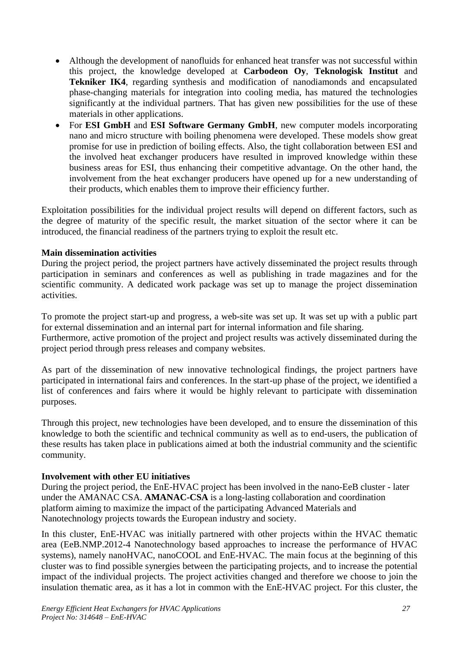- Although the development of nanofluids for enhanced heat transfer was not successful within this project, the knowledge developed at **Carbodeon Oy**, **Teknologisk Institut** and **Tekniker IK4**, regarding synthesis and modification of nanodiamonds and encapsulated phase-changing materials for integration into cooling media, has matured the technologies significantly at the individual partners. That has given new possibilities for the use of these materials in other applications.
- For **ESI GmbH** and **ESI Software Germany GmbH**, new computer models incorporating nano and micro structure with boiling phenomena were developed. These models show great promise for use in prediction of boiling effects. Also, the tight collaboration between ESI and the involved heat exchanger producers have resulted in improved knowledge within these business areas for ESI, thus enhancing their competitive advantage. On the other hand, the involvement from the heat exchanger producers have opened up for a new understanding of their products, which enables them to improve their efficiency further.

Exploitation possibilities for the individual project results will depend on different factors, such as the degree of maturity of the specific result, the market situation of the sector where it can be introduced, the financial readiness of the partners trying to exploit the result etc.

#### **Main dissemination activities**

During the project period, the project partners have actively disseminated the project results through participation in seminars and conferences as well as publishing in trade magazines and for the scientific community. A dedicated work package was set up to manage the project dissemination activities.

To promote the project start-up and progress, a web-site was set up. It was set up with a public part for external dissemination and an internal part for internal information and file sharing.

Furthermore, active promotion of the project and project results was actively disseminated during the project period through press releases and company websites.

As part of the dissemination of new innovative technological findings, the project partners have participated in international fairs and conferences. In the start-up phase of the project, we identified a list of conferences and fairs where it would be highly relevant to participate with dissemination purposes.

Through this project, new technologies have been developed, and to ensure the dissemination of this knowledge to both the scientific and technical community as well as to end-users, the publication of these results has taken place in publications aimed at both the industrial community and the scientific community.

#### **Involvement with other EU initiatives**

During the project period, the EnE-HVAC project has been involved in the nano-EeB cluster - later under the AMANAC CSA. **AMANAC-CSA** is a long-lasting collaboration and coordination platform aiming to maximize the impact of the participating Advanced Materials and Nanotechnology projects towards the European industry and society.

In this cluster, EnE-HVAC was initially partnered with other projects within the HVAC thematic area (EeB.NMP.2012-4 Nanotechnology based approaches to increase the performance of HVAC systems), namely nanoHVAC, nanoCOOL and EnE-HVAC. The main focus at the beginning of this cluster was to find possible synergies between the participating projects, and to increase the potential impact of the individual projects. The project activities changed and therefore we choose to join the insulation thematic area, as it has a lot in common with the EnE-HVAC project. For this cluster, the